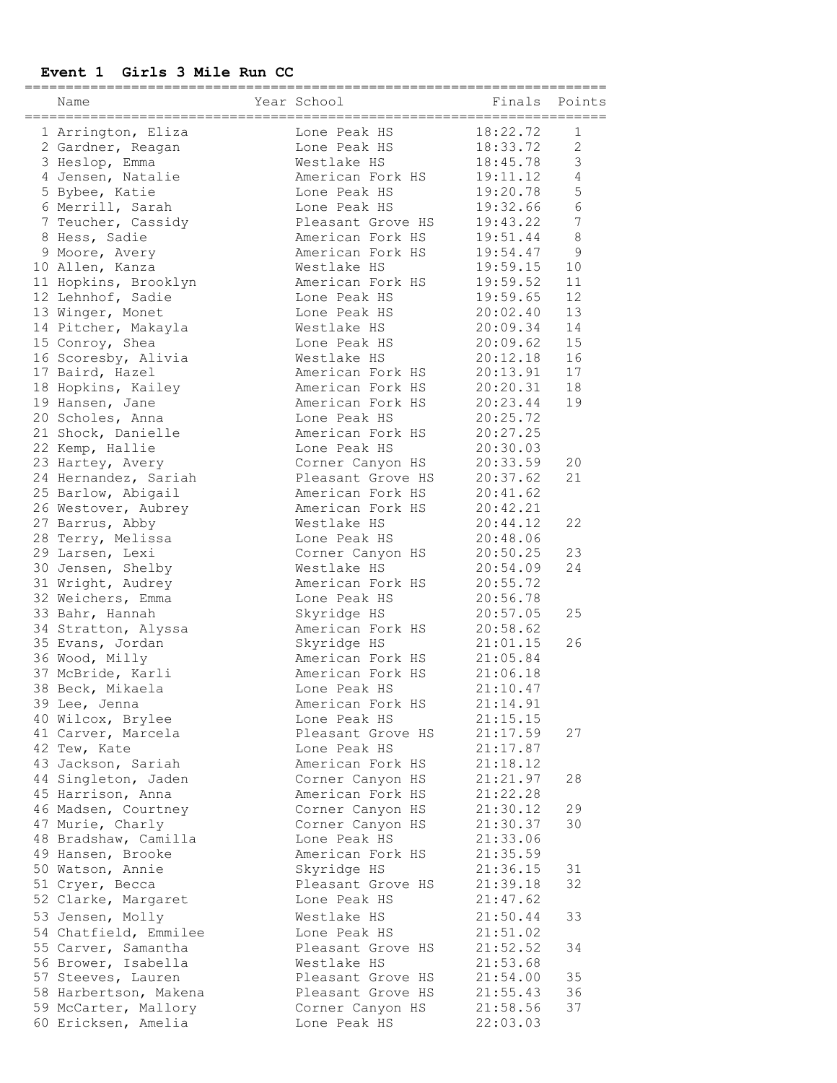### **Event 1 Girls 3 Mile Run CC**

| Name<br>-=================================== | Year School               | Finals Points |                |
|----------------------------------------------|---------------------------|---------------|----------------|
| 1 Arrington, Eliza                           | Lone Peak HS              | 18:22.72      | 1              |
| 2 Gardner, Reagan                            | Lone Peak HS              | 18:33.72      | 2              |
| 3 Heslop, Emma                               | Westlake HS               | 18:45.78      | 3              |
| 4 Jensen, Natalie                            | American Fork HS          | 19:11.12      | $\overline{4}$ |
| 5 Bybee, Katie                               | Lone Peak HS              | 19:20.78      | 5              |
|                                              | Lone Peak HS              | 19:32.66      | 6              |
| 6 Merrill, Sarah                             |                           |               | 7              |
| 7 Teucher, Cassidy                           | Pleasant Grove HS         | 19:43.22      |                |
| 8 Hess, Sadie                                | American Fork HS          | 19:51.44      | 8              |
| 9 Moore, Avery                               | American Fork HS          | 19:54.47      | $\mathsf 9$    |
| 10 Allen, Kanza                              | Westlake HS               | 19:59.15      | 10             |
| 11 Hopkins, Brooklyn                         | American Fork HS          | 19:59.52      | 11             |
| 12 Lehnhof, Sadie                            | Lone Peak HS              | 19:59.65      | 12             |
| 13 Winger, Monet                             | Lone Peak HS              | 20:02.40      | 13             |
| 14 Pitcher, Makayla                          | Westlake HS               | 20:09.34      | 14             |
| 15 Conroy, Shea                              | Lone Peak HS              | 20:09.62      | 15             |
| 16 Scoresby, Alivia                          | Westlake HS               | 20:12.18      | 16             |
| 17 Baird, Hazel                              | American Fork HS          | 20:13.91      | 17             |
| 18 Hopkins, Kailey                           | American Fork HS          | 20:20.31      | 18             |
| 19 Hansen, Jane                              | American Fork HS          | 20:23.44      | 19             |
| 20 Scholes, Anna                             | Lone Peak HS              | 20:25.72      |                |
| 21 Shock, Danielle                           | American Fork HS          | 20:27.25      |                |
| 22 Kemp, Hallie                              | Lone Peak HS              | 20:30.03      |                |
| 23 Hartey, Avery                             | Corner Canyon HS          | 20:33.59      | 20             |
| 24 Hernandez, Sariah                         | Pleasant Grove HS         | 20:37.62      | 21             |
| 25 Barlow, Abigail                           | American Fork HS          | 20:41.62      |                |
| 26 Westover, Aubrey                          | American Fork HS          | 20:42.21      |                |
| 27 Barrus, Abby                              | Westlake HS               | 20:44.12      | 22             |
|                                              |                           |               |                |
| 28 Terry, Melissa                            | Lone Peak HS              | 20:48.06      |                |
| 29 Larsen, Lexi                              | Corner Canyon HS          | 20:50.25      | 23             |
| 30 Jensen, Shelby                            | Westlake HS               | 20:54.09      | 24             |
| 31 Wright, Audrey                            | American Fork HS 20:55.72 |               |                |
| 32 Weichers, Emma                            | Lone Peak HS              | 20:56.78      |                |
| 33 Bahr, Hannah                              | Skyridge HS               | 20:57.05      | 25             |
| 34 Stratton, Alyssa                          | American Fork HS          | 20:58.62      |                |
| 35 Evans, Jordan                             | Skyridge HS               | 21:01.15      | 26             |
| 36 Wood, Milly                               | American Fork HS          | 21:05.84      |                |
| 37 McBride, Karli                            | American Fork HS 21:06.18 |               |                |
| 38 Beck, Mikaela                             | Lone Peak HS              | 21:10.47      |                |
| 39 Lee, Jenna                                | American Fork HS          | 21:14.91      |                |
| 40 Wilcox, Brylee                            | Lone Peak HS              | 21:15.15      |                |
| 41 Carver, Marcela                           | Pleasant Grove HS         | 21:17.59      | 27             |
| 42 Tew, Kate                                 | Lone Peak HS              | 21:17.87      |                |
| 43 Jackson, Sariah                           | American Fork HS          | 21:18.12      |                |
| 44 Singleton, Jaden                          | Corner Canyon HS          | 21:21.97      | 28             |
| 45 Harrison, Anna                            | American Fork HS          | 21:22.28      |                |
| 46 Madsen, Courtney                          | Corner Canyon HS          | 21:30.12      | 29             |
| 47 Murie, Charly                             | Corner Canyon HS          | 21:30.37      | 30             |
| 48 Bradshaw, Camilla                         | Lone Peak HS              | 21:33.06      |                |
| 49 Hansen, Brooke                            | American Fork HS          | 21:35.59      |                |
| 50 Watson, Annie                             | Skyridge HS               | 21:36.15      | 31             |
| 51 Cryer, Becca                              | Pleasant Grove HS         | 21:39.18      | 32             |
|                                              |                           |               |                |
| 52 Clarke, Margaret                          | Lone Peak HS              | 21:47.62      |                |
| 53 Jensen, Molly                             | Westlake HS               | 21:50.44      | 33             |
| 54 Chatfield, Emmilee                        | Lone Peak HS              | 21:51.02      |                |
| 55 Carver, Samantha                          | Pleasant Grove HS         | 21:52.52      | 34             |
| 56 Brower, Isabella                          | Westlake HS               | 21:53.68      |                |
| 57 Steeves, Lauren                           | Pleasant Grove HS         | 21:54.00      | 35             |
| 58 Harbertson, Makena                        | Pleasant Grove HS         | 21:55.43      | 36             |
| 59 McCarter, Mallory                         | Corner Canyon HS          | 21:58.56      | 37             |
| 60 Ericksen, Amelia                          | Lone Peak HS              | 22:03.03      |                |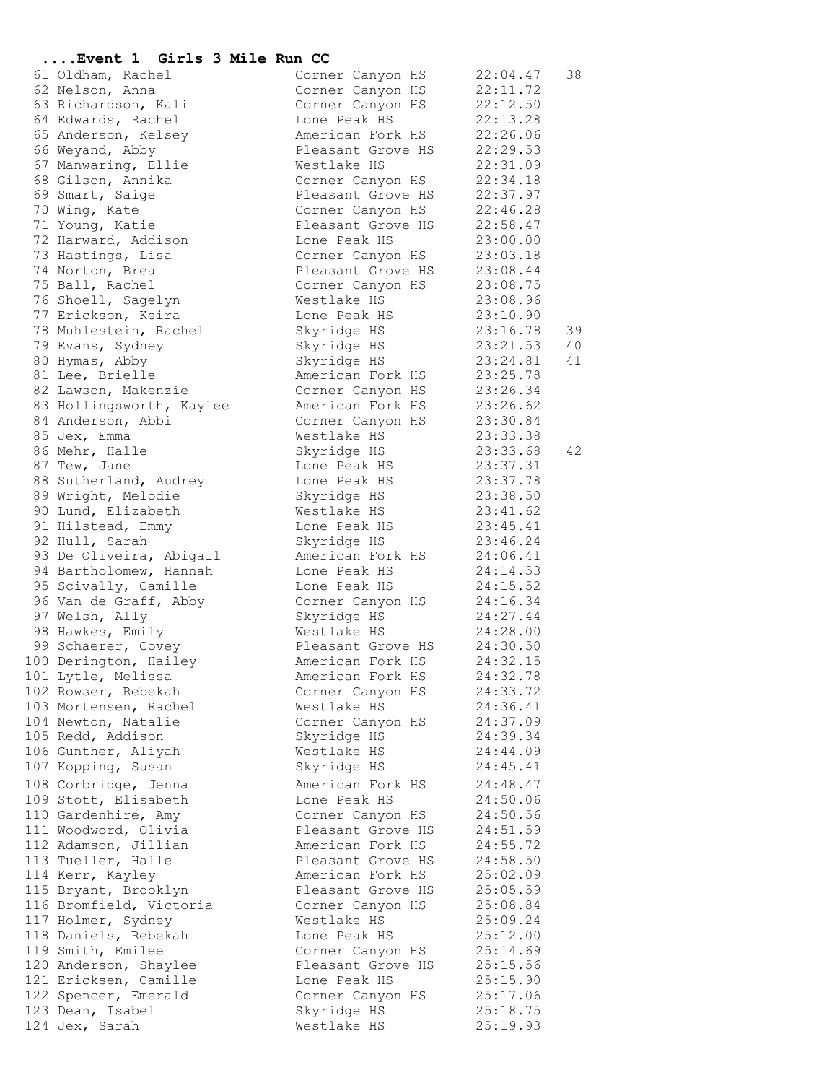# **....Event 1 Girls 3 Mile Run CC**

| 61 Oldham, Rachel                             | Corner Canyon HS                 | 22:04.47             | 38 |
|-----------------------------------------------|----------------------------------|----------------------|----|
| 62 Nelson, Anna                               | Corner Canyon HS                 | 22:11.72             |    |
| 63 Richardson, Kali                           | Corner Canyon HS 22:12.50        |                      |    |
| 64 Edwards, Rachel                            | Lone Peak HS                     | 22:13.28             |    |
| 65 Anderson, Kelsey                           | American Fork HS                 | 22:26.06             |    |
| 66 Weyand, Abby                               | Pleasant Grove HS                | 22:29.53             |    |
| 67 Manwaring, Ellie                           | Westlake HS                      | 22:31.09             |    |
| 68 Gilson, Annika                             | Corner Canyon HS                 | 22:34.18             |    |
| 69 Smart, Saige                               | Pleasant Grove HS                | 22:37.97             |    |
| 70 Wing, Kate                                 | Corner Canyon HS                 | 22:46.28             |    |
| 71 Young, Katie                               | Pleasant Grove HS                | 22:58.47             |    |
| 72 Harward, Addison                           | Lone Peak HS                     | 23:00.00             |    |
| 73 Hastings, Lisa                             | Corner Canyon HS                 | 23:03.18             |    |
| 74 Norton, Brea                               | Pleasant Grove HS                | 23:08.44             |    |
| 75 Ball, Rachel                               | Corner Canyon HS 23:08.75        |                      |    |
| 76 Shoell, Sagelyn                            | Westlake HS                      | 23:08.96             |    |
| 77 Erickson, Keira                            | Lone Peak HS                     | 23:10.90             |    |
| 78 Muhlestein, Rachel                         | Skyridge HS                      | 23:16.78             | 39 |
| 79 Evans, Sydney                              | Skyridge HS                      | 23:21.53             | 40 |
| 80 Hymas, Abby                                | Skyridge HS                      | 23:24.81             | 41 |
| 81 Lee, Brielle                               | American Fork HS                 | 23:25.78             |    |
| 82 Lawson, Makenzie                           | Corner Canyon HS 23:26.34        |                      |    |
| 83 Hollingsworth, Kaylee                      | American Fork HS                 | 23:26.62             |    |
| 84 Anderson, Abbi                             | Corner Canyon HS                 | 23:30.84             |    |
| 85 Jex, Emma                                  | Westlake HS                      | 23:33.38             |    |
| 86 Mehr, Halle                                | Skyridge HS                      | 23:33.68             | 42 |
| 87 Tew, Jane                                  | Lone Peak HS                     | 23:37.31             |    |
| 88 Sutherland, Audrey                         | Lone Peak HS                     | 23:37.78             |    |
| 89 Wright, Melodie                            | Skyridge HS                      | 23:38.50             |    |
| 90 Lund, Elizabeth                            | Westlake HS                      | 23:41.62             |    |
| 91 Hilstead, Emmy                             | Lone Peak HS                     | 23:45.41             |    |
| 92 Hull, Sarah                                | Skyridge HS                      | 23:46.24             |    |
| 93 De Oliveira, Abigail                       | American Fork HS                 | 24:06.41             |    |
| 94 Bartholomew, Hannah                        | Lone Peak HS                     | 24:14.53             |    |
| 95 Scivally, Camille<br>96 Van de Graff, Abby | Lone Peak HS<br>Corner Canyon HS | 24:15.52<br>24:16.34 |    |
| 97 Welsh, Ally                                | Skyridge HS                      | 24:27.44             |    |
| 98 Hawkes, Emily                              | Westlake HS                      | 24:28.00             |    |
| 99 Schaerer, Covey                            | Pleasant Grove HS 24:30.50       |                      |    |
| 100 Derington, Hailey                         | American Fork HS 24:32.15        |                      |    |
| 101 Lytle, Melissa                            | American Fork HS                 | 24:32.78             |    |
| 102 Rowser, Rebekah                           | Corner Canyon HS                 | 24:33.72             |    |
| 103 Mortensen, Rachel                         | Westlake HS                      | 24:36.41             |    |
| 104 Newton, Natalie                           | Corner Canyon HS                 | 24:37.09             |    |
| 105 Redd, Addison                             | Skyridge HS                      | 24:39.34             |    |
| 106 Gunther, Aliyah                           | Westlake HS                      | 24:44.09             |    |
| 107 Kopping, Susan                            | Skyridge HS                      | 24:45.41             |    |
| 108 Corbridge, Jenna                          | American Fork HS                 | 24:48.47             |    |
| 109 Stott, Elisabeth                          | Lone Peak HS                     | 24:50.06             |    |
| 110 Gardenhire, Amy                           | Corner Canyon HS                 | 24:50.56             |    |
| 111 Woodword, Olivia                          | Pleasant Grove HS                | 24:51.59             |    |
| 112 Adamson, Jillian                          | American Fork HS                 | 24:55.72             |    |
| 113 Tueller, Halle                            | Pleasant Grove HS                | 24:58.50             |    |
| 114 Kerr, Kayley                              | American Fork HS                 | 25:02.09             |    |
| 115 Bryant, Brooklyn                          | Pleasant Grove HS                | 25:05.59             |    |
| 116 Bromfield, Victoria                       | Corner Canyon HS                 | 25:08.84             |    |
| 117 Holmer, Sydney                            | Westlake HS                      | 25:09.24             |    |
| 118 Daniels, Rebekah                          | Lone Peak HS                     | 25:12.00             |    |
| 119 Smith, Emilee                             | Corner Canyon HS                 | 25:14.69             |    |
| 120 Anderson, Shaylee                         | Pleasant Grove HS                | 25:15.56             |    |
| 121 Ericksen, Camille                         | Lone Peak HS                     | 25:15.90             |    |
| 122 Spencer, Emerald                          | Corner Canyon HS                 | 25:17.06             |    |
| 123 Dean, Isabel                              | Skyridge HS                      | 25:18.75             |    |
| 124 Jex, Sarah                                | Westlake HS                      | 25:19.93             |    |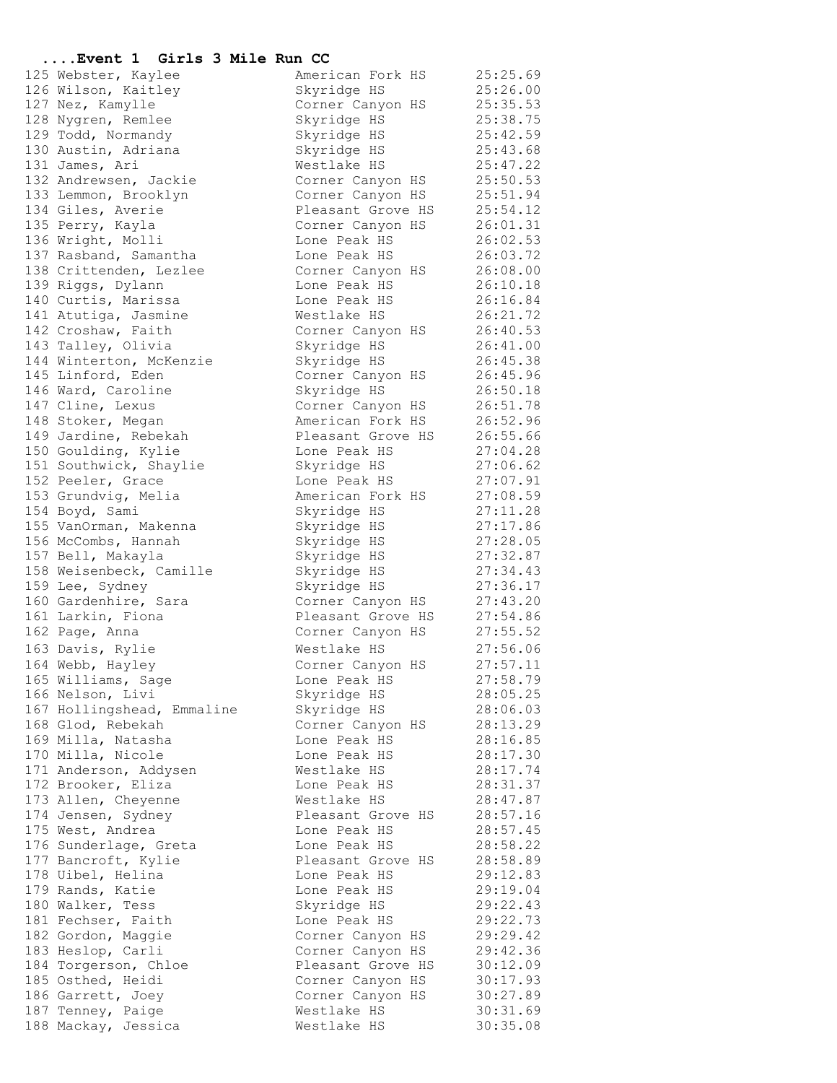#### **....Event 1 Girls 3 Mile Run CC**

125 Webster, Kaylee American Fork HS 25:25.69 126 Wilson, Kaitley Skyridge HS 25:26.00 127 Nez, Kamylle Corner Canyon HS 25:35.53 128 Nygren, Remlee Skyridge HS 25:38.75 129 Todd, Normandy Skyridge HS 25:42.59 130 Austin, Adriana Skyridge HS 25:43.68 131 James, Ari Westlake HS 25:47.22 132 Andrewsen, Jackie Corner Canyon HS 25:50.53 133 Lemmon, Brooklyn Corner Canyon HS 25:51.94 134 Giles, Averie **128 Eleasant Grove HS** 25:54.12 135 Perry, Kayla Corner Canyon HS 26:01.31 136 Wright, Molli Lone Peak HS 26:02.53 137 Rasband, Samantha Lone Peak HS 26:03.72 138 Crittenden, Lezlee Corner Canyon HS 26:08.00 139 Riggs, Dylann Lone Peak HS 26:10.18 140 Curtis, Marissa Lone Peak HS 26:16.84 141 Atutiga, Jasmine Westlake HS 26:21.72 142 Croshaw, Faith Corner Canyon HS 26:40.53 143 Talley, Olivia Skyridge HS 26:41.00 144 Winterton, McKenzie Skyridge HS 26:45.38 145 Linford, Eden Corner Canyon HS 26:45.96 146 Ward, Caroline **Skyridge HS** 26:50.18 147 Cline, Lexus Corner Canyon HS 26:51.78 148 Stoker, Megan American Fork HS 26:52.96 149 Jardine, Rebekah Pleasant Grove HS 26:55.66 150 Goulding, Kylie Lone Peak HS 27:04.28 151 Southwick, Shaylie Skyridge HS 27:06.62 152 Peeler, Grace Contact Lone Peak HS 27:07.91 153 Grundvig, Melia American Fork HS 27:08.59 154 Boyd, Sami Skyridge HS 27:11.28 155 VanOrman, Makenna Skyridge HS 27:17.86 156 McCombs, Hannah Skyridge HS 27:28.05 157 Bell, Makayla Skyridge HS 27:32.87 158 Weisenbeck, Camille Skyridge HS 27:34.43 159 Lee, Sydney Skyridge HS 27:36.17 160 Gardenhire, Sara Corner Canyon HS 27:43.20 161 Larkin, Fiona Pleasant Grove HS 27:54.86 162 Page, Anna Corner Canyon HS 27:55.52 163 Davis, Rylie Westlake HS 27:56.06 164 Webb, Hayley Corner Canyon HS 27:57.11 165 Williams, Sage Lone Peak HS 27:58.79 166 Nelson, Livi Skyridge HS 28:05.25 167 Hollingshead, Emmaline Skyridge HS 28:06.03 168 Glod, Rebekah Corner Canyon HS 28:13.29 169 Milla, Natasha Lone Peak HS 28:16.85 170 Milla, Nicole Lone Peak HS 28:17.30 171 Anderson, Addysen Westlake HS 28:17.74 172 Brooker, Eliza Lone Peak HS 28:31.37 173 Allen, Cheyenne Westlake HS 28:47.87 174 Jensen, Sydney Theasant Grove HS 28:57.16 175 West, Andrea and Lone Peak HS 28:57.45 176 Sunderlage, Greta Lone Peak HS 28:58.22 177 Bancroft, Kylie **Pleasant Grove HS** 28:58.89 178 Uibel, Helina Lone Peak HS 29:12.83 179 Rands, Katie  $\qquad \qquad$  Lone Peak HS  $\qquad \qquad 29:19.04$ 180 Walker, Tess Skyridge HS 29:22.43 181 Fechser, Faith Lone Peak HS 29:22.73 182 Gordon, Maggie Corner Canyon HS 29:29.42 183 Heslop, Carli Corner Canyon HS 29:42.36 184 Torgerson, Chloe Theasant Grove HS 30:12.09 185 Osthed, Heidi **185 Corner Canyon HS** 30:17.93 186 Garrett, Joey Corner Canyon HS 30:27.89 187 Tenney, Paige Mestlake HS 30:31.69 188 Mackay, Jessica Westlake HS 30:35.08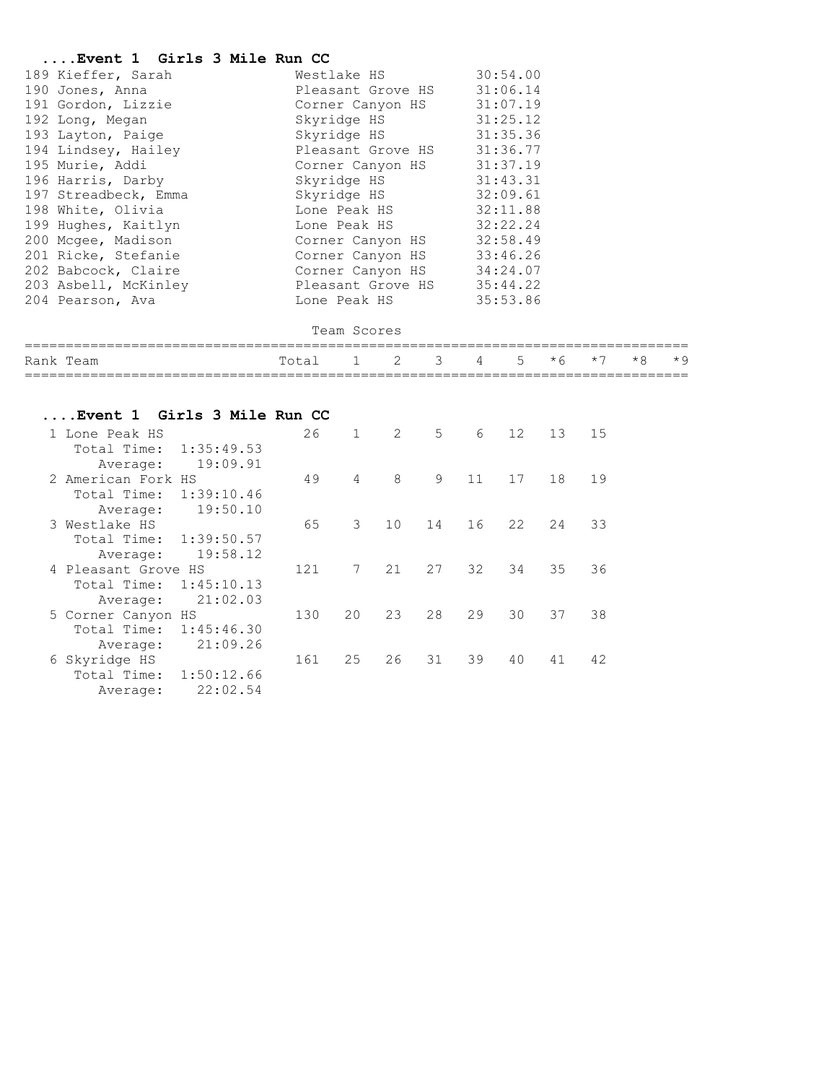#### **....Event 1 Girls 3 Mile Run CC**

| 189 Kieffer, Sarah   |              |                   | Westlake HS               |          |            | 30:54.00 |         |      |      |      |
|----------------------|--------------|-------------------|---------------------------|----------|------------|----------|---------|------|------|------|
| 190 Jones, Anna      |              | Pleasant Grove HS |                           |          | 31:06.14   |          |         |      |      |      |
| 191 Gordon, Lizzie   |              |                   | Corner Canyon HS 31:07.19 |          |            |          |         |      |      |      |
| 192 Long, Megan      |              |                   | Skyridge HS               |          | 31:25.12   |          |         |      |      |      |
| 193 Layton, Paige    |              |                   | Skyridge HS               |          |            | 31:35.36 |         |      |      |      |
| 194 Lindsey, Hailey  |              |                   | Pleasant Grove HS         |          | 31:36.77   |          |         |      |      |      |
| 195 Murie, Addi      |              |                   | Corner Canyon HS          |          | 31:37.19   |          |         |      |      |      |
| 196 Harris, Darby    |              |                   | Skyridge HS               |          | 31:43.31   |          |         |      |      |      |
| 197 Streadbeck, Emma |              |                   | Skyridge HS               |          | 32:09.61   |          |         |      |      |      |
| 198 White, Olivia    | Lone Peak HS |                   |                           |          | 32:11.88   |          |         |      |      |      |
| 199 Hughes, Kaitlyn  |              |                   | Lone Peak HS              |          | 32:22.24   |          |         |      |      |      |
| 200 Mcgee, Madison   |              |                   | Corner Canyon HS          |          | 32:58.49   |          |         |      |      |      |
| 201 Ricke, Stefanie  |              |                   | Corner Canyon HS 33:46.26 |          |            |          |         |      |      |      |
| 202 Babcock, Claire  |              |                   | Corner Canyon HS 34:24.07 |          |            |          |         |      |      |      |
| 203 Asbell, McKinley |              |                   | Pleasant Grove HS         |          | 35:44.22   |          |         |      |      |      |
| 204 Pearson, Ava     |              |                   | Lone Peak HS              |          |            | 35:53.86 |         |      |      |      |
| Team Scores          |              |                   |                           |          |            |          |         |      |      |      |
| Rank Team            | Total 1      |                   | $\mathbf{2}$              | $3 \sim$ | $4\degree$ |          | $5 * 6$ | $*7$ | $*8$ | $*9$ |

# **....Event 1 Girls 3 Mile Run CC**

| 1 Lone Peak HS            | 26  | 1              | 2               | 5  | 6  | 12 | 13 | 15 |
|---------------------------|-----|----------------|-----------------|----|----|----|----|----|
| Total Time:<br>1:35:49.53 |     |                |                 |    |    |    |    |    |
| 19:09.91<br>Average:      |     |                |                 |    |    |    |    |    |
| 2 American Fork HS        | 49  | $\overline{4}$ | 8               | 9  | 11 | 17 | 18 | 19 |
| 1:39:10.46<br>Total Time: |     |                |                 |    |    |    |    |    |
| 19:50.10<br>Average:      |     |                |                 |    |    |    |    |    |
| 3 Westlake HS             | 65  | 3              | 10 <sup>°</sup> | 14 | 16 | 22 | 24 | 33 |
| Total Time:<br>1:39:50.57 |     |                |                 |    |    |    |    |    |
| 19:58.12<br>Average:      |     |                |                 |    |    |    |    |    |
| 4 Pleasant Grove HS       | 121 | 7              | 21              | 27 | 32 | 34 | 35 | 36 |
| 1:45:10.13<br>Total Time: |     |                |                 |    |    |    |    |    |
| 21:02.03<br>Average:      |     |                |                 |    |    |    |    |    |
| 5 Corner Canyon HS        | 130 | 20             | 23              | 28 | 29 | 30 | 37 | 38 |
| Total Time:<br>1:45:46.30 |     |                |                 |    |    |    |    |    |
| 21:09.26<br>Average:      |     |                |                 |    |    |    |    |    |
| 6 Skyridge HS             | 161 | 25             | 26              | 31 | 39 | 40 | 41 | 42 |
| 1:50:12.66<br>Total Time: |     |                |                 |    |    |    |    |    |
| 22:02.54<br>Average:      |     |                |                 |    |    |    |    |    |
|                           |     |                |                 |    |    |    |    |    |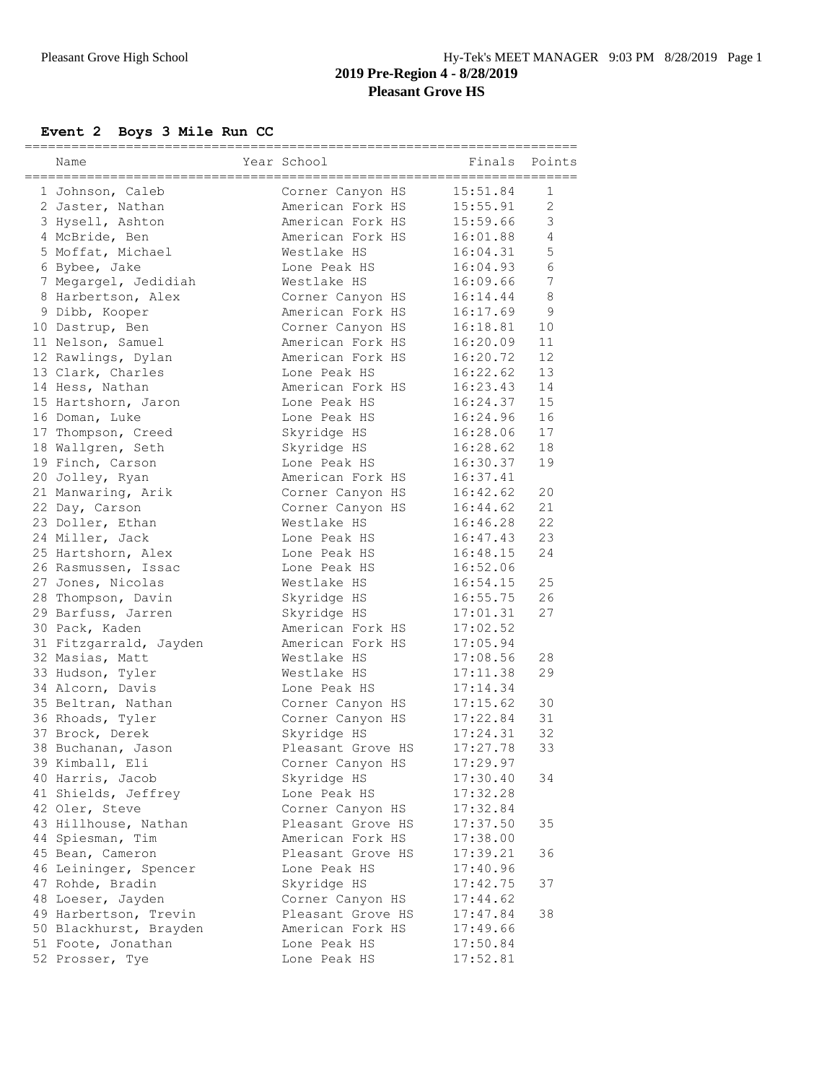# **Event 2 Boys 3 Mile Run CC**

| Name                                      | Year School                           | Finals               | Points            |
|-------------------------------------------|---------------------------------------|----------------------|-------------------|
| 1 Johnson, Caleb                          | Corner Canyon HS                      | 15:51.84             | 1                 |
| 2 Jaster, Nathan                          | American Fork HS                      | 15:55.91             | 2                 |
| 3 Hysell, Ashton                          | American Fork HS                      | 15:59.66             | 3                 |
| 4 McBride, Ben                            | American Fork HS                      | 16:01.88             | 4                 |
| 5 Moffat, Michael                         | Westlake HS                           | 16:04.31             | 5                 |
| 6 Bybee, Jake                             | Lone Peak HS                          | 16:04.93             | 6                 |
| 7 Megargel, Jedidiah                      | Westlake HS                           | 16:09.66             | 7                 |
| 8 Harbertson, Alex                        | Corner Canyon HS                      | 16:14.44             | 8                 |
| 9 Dibb, Kooper                            | American Fork HS                      | 16:17.69             | 9                 |
| 10 Dastrup, Ben                           | Corner Canyon HS                      | 16:18.81             | 10                |
| 11 Nelson, Samuel                         | American Fork HS                      | 16:20.09             | 11                |
| 12 Rawlings, Dylan                        | American Fork HS                      | 16:20.72             | $12 \overline{ }$ |
| 13 Clark, Charles                         | Lone Peak HS                          | 16:22.62             | 13                |
| 14 Hess, Nathan                           | American Fork HS                      | 16:23.43             | 14                |
| 15 Hartshorn, Jaron                       | Lone Peak HS                          | 16:24.37             | 15                |
| 16 Doman, Luke                            | Lone Peak HS                          | 16:24.96             | 16                |
| 17 Thompson, Creed                        | Skyridge HS                           | 16:28.06             | 17                |
| 18 Wallgren, Seth                         | Skyridge HS                           | 16:28.62             | 18                |
| 19 Finch, Carson                          | Lone Peak HS                          | 16:30.37             | 19                |
| 20 Jolley, Ryan                           | American Fork HS                      | 16:37.41             |                   |
| 21 Manwaring, Arik                        | Corner Canyon HS                      | 16:42.62             | 20                |
| 22 Day, Carson                            | Corner Canyon HS                      | 16:44.62             | 21                |
| 23 Doller, Ethan                          | Westlake HS                           | 16:46.28             | 22                |
| 24 Miller, Jack                           | Lone Peak HS                          | 16:47.43             | 23                |
| 25 Hartshorn, Alex                        | Lone Peak HS                          | 16:48.15             | 24                |
| 26 Rasmussen, Issac                       | Lone Peak HS                          | 16:52.06             |                   |
| 27 Jones, Nicolas                         | Westlake HS                           | 16:54.15             | 25                |
| 28 Thompson, Davin                        | Skyridge HS                           | 16:55.75             | 26                |
| 29 Barfuss, Jarren                        | Skyridge HS                           | 17:01.31             | 27                |
| 30 Pack, Kaden                            | American Fork HS                      | 17:02.52             |                   |
| 31 Fitzgarrald, Jayden                    | American Fork HS                      | 17:05.94             |                   |
| 32 Masias, Matt                           | Westlake HS                           | 17:08.56             | 28                |
| 33 Hudson, Tyler                          | Westlake HS                           | 17:11.38             | 29                |
| 34 Alcorn, Davis                          | Lone Peak HS                          | 17:14.34             |                   |
| 35 Beltran, Nathan                        | Corner Canyon HS                      | 17:15.62             | 30                |
| 36 Rhoads, Tyler                          | Corner Canyon HS                      | 17:22.84             | 31                |
| 37 Brock, Derek                           | Skyridge HS                           | 17:24.31             | 32                |
| 38 Buchanan, Jason                        | Pleasant Grove HS                     | 17:27.78             | 33                |
| 39 Kimball, Eli                           | Corner Canyon HS                      | 17:29.97             |                   |
| 40 Harris, Jacob                          | Skyridge HS                           | 17:30.40             | 34                |
| 41 Shields, Jeffrey                       | Lone Peak HS                          | 17:32.28             |                   |
| 42 Oler, Steve                            | Corner Canyon HS                      | 17:32.84             |                   |
| 43 Hillhouse, Nathan                      | Pleasant Grove HS                     | 17:37.50             | 35                |
| 44 Spiesman, Tim                          | American Fork HS<br>Pleasant Grove HS | 17:38.00             |                   |
| 45 Bean, Cameron                          |                                       | 17:39.21             | 36                |
| 46 Leininger, Spencer<br>47 Rohde, Bradin | Lone Peak HS<br>Skyridge HS           | 17:40.96<br>17:42.75 | 37                |
| 48 Loeser, Jayden                         | Corner Canyon HS                      | 17:44.62             |                   |
| 49 Harbertson, Trevin                     | Pleasant Grove HS                     | 17:47.84             | 38                |
| 50 Blackhurst, Brayden                    | American Fork HS                      | 17:49.66             |                   |
| 51 Foote, Jonathan                        | Lone Peak HS                          | 17:50.84             |                   |
| 52 Prosser, Tye                           | Lone Peak HS                          | 17:52.81             |                   |
|                                           |                                       |                      |                   |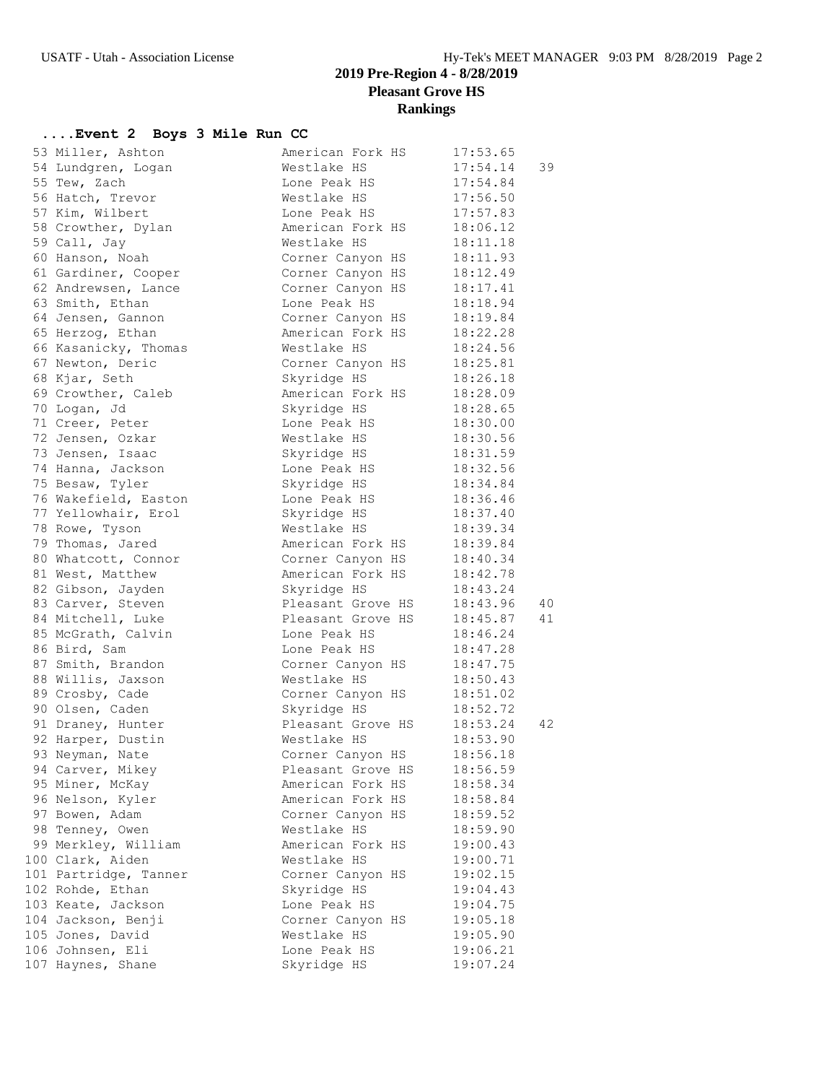### **2019 Pre-Region 4 - 8/28/2019 Pleasant Grove HS Rankings**

### **....Event 2 Boys 3 Mile Run CC**

| 53 Miller, Ashton     | American Fork HS           | 17:53.65 |    |
|-----------------------|----------------------------|----------|----|
| 54 Lundgren, Logan    | Westlake HS                | 17:54.14 | 39 |
| 55 Tew, Zach          | Lone Peak HS               | 17:54.84 |    |
| 56 Hatch, Trevor      | Westlake HS                | 17:56.50 |    |
| 57 Kim, Wilbert       | Lone Peak HS               | 17:57.83 |    |
| 58 Crowther, Dylan    | American Fork HS           | 18:06.12 |    |
| 59 Call, Jay          | Westlake HS                | 18:11.18 |    |
| 60 Hanson, Noah       | Corner Canyon HS           | 18:11.93 |    |
| 61 Gardiner, Cooper   | Corner Canyon HS           | 18:12.49 |    |
| 62 Andrewsen, Lance   | Corner Canyon HS           | 18:17.41 |    |
| 63 Smith, Ethan       | Lone Peak HS               | 18:18.94 |    |
| 64 Jensen, Gannon     | Corner Canyon HS           | 18:19.84 |    |
| 65 Herzog, Ethan      | American Fork HS           | 18:22.28 |    |
| 66 Kasanicky, Thomas  | Westlake HS                | 18:24.56 |    |
| 67 Newton, Deric      | Corner Canyon HS           | 18:25.81 |    |
| 68 Kjar, Seth         | Skyridge HS                | 18:26.18 |    |
| 69 Crowther, Caleb    | American Fork HS           | 18:28.09 |    |
| 70 Logan, Jd          | Skyridge HS                | 18:28.65 |    |
| 71 Creer, Peter       | Lone Peak HS               | 18:30.00 |    |
| 72 Jensen, Ozkar      | Westlake HS                | 18:30.56 |    |
| 73 Jensen, Isaac      | Skyridge HS                | 18:31.59 |    |
| 74 Hanna, Jackson     | Lone Peak HS               | 18:32.56 |    |
| 75 Besaw, Tyler       | Skyridge HS                | 18:34.84 |    |
| 76 Wakefield, Easton  | Lone Peak HS               | 18:36.46 |    |
|                       |                            | 18:37.40 |    |
| 77 Yellowhair, Erol   | Skyridge HS<br>Westlake HS |          |    |
| 78 Rowe, Tyson        |                            | 18:39.34 |    |
| 79 Thomas, Jared      | American Fork HS           | 18:39.84 |    |
| 80 Whatcott, Connor   | Corner Canyon HS           | 18:40.34 |    |
| 81 West, Matthew      | American Fork HS           | 18:42.78 |    |
| 82 Gibson, Jayden     | Skyridge HS                | 18:43.24 |    |
| 83 Carver, Steven     | Pleasant Grove HS          | 18:43.96 | 40 |
| 84 Mitchell, Luke     | Pleasant Grove HS          | 18:45.87 | 41 |
| 85 McGrath, Calvin    | Lone Peak HS               | 18:46.24 |    |
| 86 Bird, Sam          | Lone Peak HS               | 18:47.28 |    |
| 87 Smith, Brandon     | Corner Canyon HS           | 18:47.75 |    |
| 88 Willis, Jaxson     | Westlake HS                | 18:50.43 |    |
| 89 Crosby, Cade       | Corner Canyon HS           | 18:51.02 |    |
| 90 Olsen, Caden       | Skyridge HS                | 18:52.72 |    |
| 91 Draney, Hunter     | Pleasant Grove HS          | 18:53.24 | 42 |
| 92 Harper, Dustin     | Westlake HS                | 18:53.90 |    |
| 93 Neyman, Nate       | Corner Canyon HS           | 18:56.18 |    |
| 94 Carver, Mikey      | Pleasant Grove HS          | 18:56.59 |    |
| 95 Miner, McKay       | American Fork HS           | 18:58.34 |    |
| 96 Nelson, Kyler      | American Fork HS           | 18:58.84 |    |
| 97 Bowen, Adam        | Corner Canyon HS           | 18:59.52 |    |
| 98 Tenney, Owen       | Westlake HS                | 18:59.90 |    |
| 99 Merkley, William   | American Fork HS           | 19:00.43 |    |
| 100 Clark, Aiden      | Westlake HS                | 19:00.71 |    |
| 101 Partridge, Tanner | Corner Canyon HS           | 19:02.15 |    |
| 102 Rohde, Ethan      | Skyridge HS                | 19:04.43 |    |
| 103 Keate, Jackson    | Lone Peak HS               | 19:04.75 |    |
| 104 Jackson, Benji    | Corner Canyon HS           | 19:05.18 |    |
| 105 Jones, David      | Westlake HS                | 19:05.90 |    |
| 106 Johnsen, Eli      | Lone Peak HS               | 19:06.21 |    |
| 107 Haynes, Shane     | Skyridge HS                | 19:07.24 |    |
|                       |                            |          |    |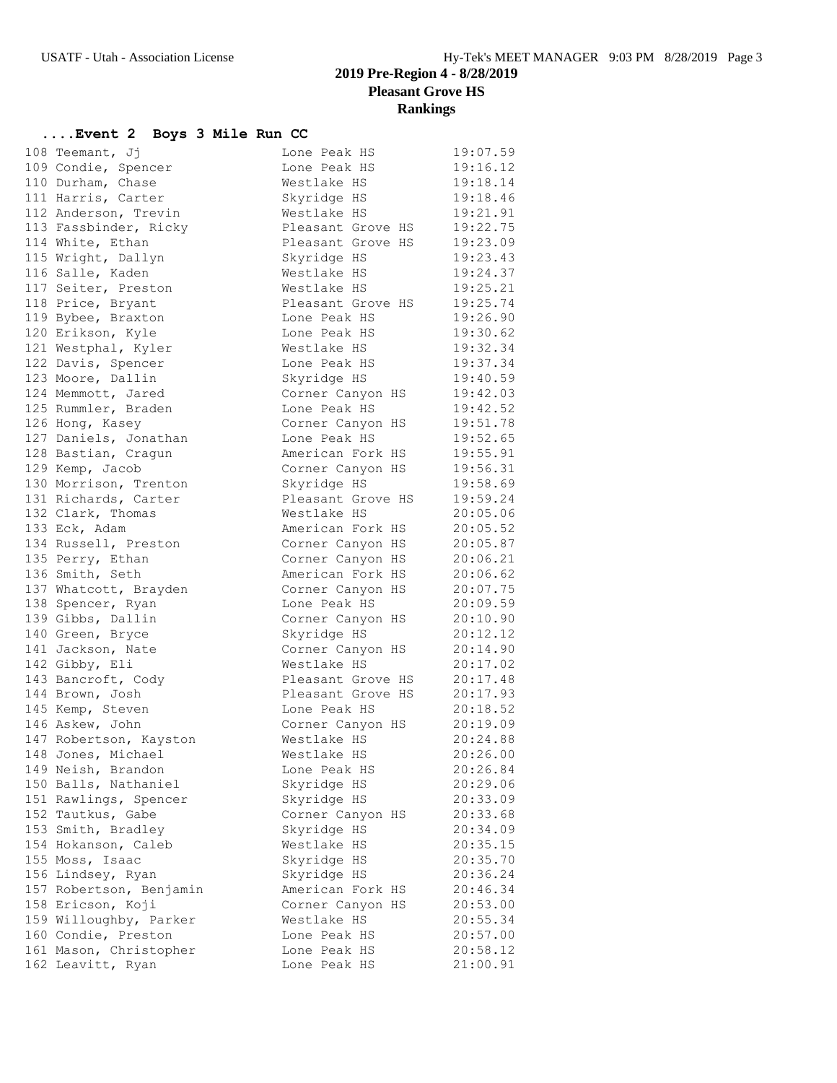### **2019 Pre-Region 4 - 8/28/2019 Pleasant Grove HS Rankings**

### **....Event 2 Boys 3 Mile Run CC**

| 108 Teemant, Jj         | Lone Peak HS               | 19:07.59 |
|-------------------------|----------------------------|----------|
| 109 Condie, Spencer     | Lone Peak HS               | 19:16.12 |
| 110 Durham, Chase       | Westlake HS                | 19:18.14 |
| 111 Harris, Carter      | Skyridge HS                | 19:18.46 |
| 112 Anderson, Trevin    | Westlake HS                | 19:21.91 |
| 113 Fassbinder, Ricky   | Pleasant Grove HS 19:22.75 |          |
| 114 White, Ethan        | Pleasant Grove HS          | 19:23.09 |
| 115 Wright, Dallyn      | Skyridge HS                | 19:23.43 |
| 116 Salle, Kaden        | Westlake HS                | 19:24.37 |
| 117 Seiter, Preston     | Westlake HS                | 19:25.21 |
| 118 Price, Bryant       | Pleasant Grove HS          | 19:25.74 |
| 119 Bybee, Braxton      | Lone Peak HS               | 19:26.90 |
| 120 Erikson, Kyle       | Lone Peak HS               | 19:30.62 |
| 121 Westphal, Kyler     | Westlake HS                | 19:32.34 |
| 122 Davis, Spencer      | Lone Peak HS               | 19:37.34 |
| 123 Moore, Dallin       | Skyridge HS                | 19:40.59 |
| 124 Memmott, Jared      | Corner Canyon HS 19:42.03  |          |
| 125 Rummler, Braden     | Lone Peak HS               | 19:42.52 |
| 126 Hong, Kasey         | Corner Canyon HS           | 19:51.78 |
| 127 Daniels, Jonathan   | Lone Peak HS               | 19:52.65 |
| 128 Bastian, Cragun     | American Fork HS           | 19:55.91 |
| 129 Kemp, Jacob         | Corner Canyon HS           | 19:56.31 |
| 130 Morrison, Trenton   | Skyridge HS                | 19:58.69 |
| 131 Richards, Carter    | Pleasant Grove HS          | 19:59.24 |
| 132 Clark, Thomas       | Westlake HS                | 20:05.06 |
| 133 Eck, Adam           | American Fork HS           | 20:05.52 |
| 134 Russell, Preston    | Corner Canyon HS           | 20:05.87 |
| 135 Perry, Ethan        | Corner Canyon HS 20:06.21  |          |
| 136 Smith, Seth         | American Fork HS 20:06.62  |          |
| 137 Whatcott, Brayden   | Corner Canyon HS 20:07.75  |          |
| 138 Spencer, Ryan       | Lone Peak HS               | 20:09.59 |
| 139 Gibbs, Dallin       | Corner Canyon HS           | 20:10.90 |
| 140 Green, Bryce        | Skyridge HS                | 20:12.12 |
| 141 Jackson, Nate       | Corner Canyon HS 20:14.90  |          |
| 142 Gibby, Eli          | Westlake HS                | 20:17.02 |
| 143 Bancroft, Cody      | Pleasant Grove HS 20:17.48 |          |
| 144 Brown, Josh         | Pleasant Grove HS 20:17.93 |          |
| 145 Kemp, Steven        | Lone Peak HS               | 20:18.52 |
| 146 Askew, John         | Corner Canyon HS 20:19.09  |          |
| 147 Robertson, Kayston  | Westlake HS                | 20:24.88 |
| 148 Jones, Michael      | Westlake HS                | 20:26.00 |
| 149 Neish, Brandon      | Lone Peak HS               | 20:26.84 |
| 150 Balls, Nathaniel    | Skyridge HS                | 20:29.06 |
| 151 Rawlings, Spencer   | Skyridge HS                | 20:33.09 |
| 152 Tautkus, Gabe       | Corner Canyon HS           | 20:33.68 |
| 153 Smith, Bradley      | Skyridge HS                | 20:34.09 |
| 154 Hokanson, Caleb     | Westlake HS                | 20:35.15 |
| 155 Moss, Isaac         | Skyridge HS                | 20:35.70 |
| 156 Lindsey, Ryan       | Skyridge HS                | 20:36.24 |
| 157 Robertson, Benjamin | American Fork HS           | 20:46.34 |
| 158 Ericson, Koji       | Corner Canyon HS           | 20:53.00 |
| 159 Willoughby, Parker  | Westlake HS                | 20:55.34 |
| 160 Condie, Preston     | Lone Peak HS               | 20:57.00 |
| 161 Mason, Christopher  | Lone Peak HS               | 20:58.12 |
| 162 Leavitt, Ryan       | Lone Peak HS               | 21:00.91 |
|                         |                            |          |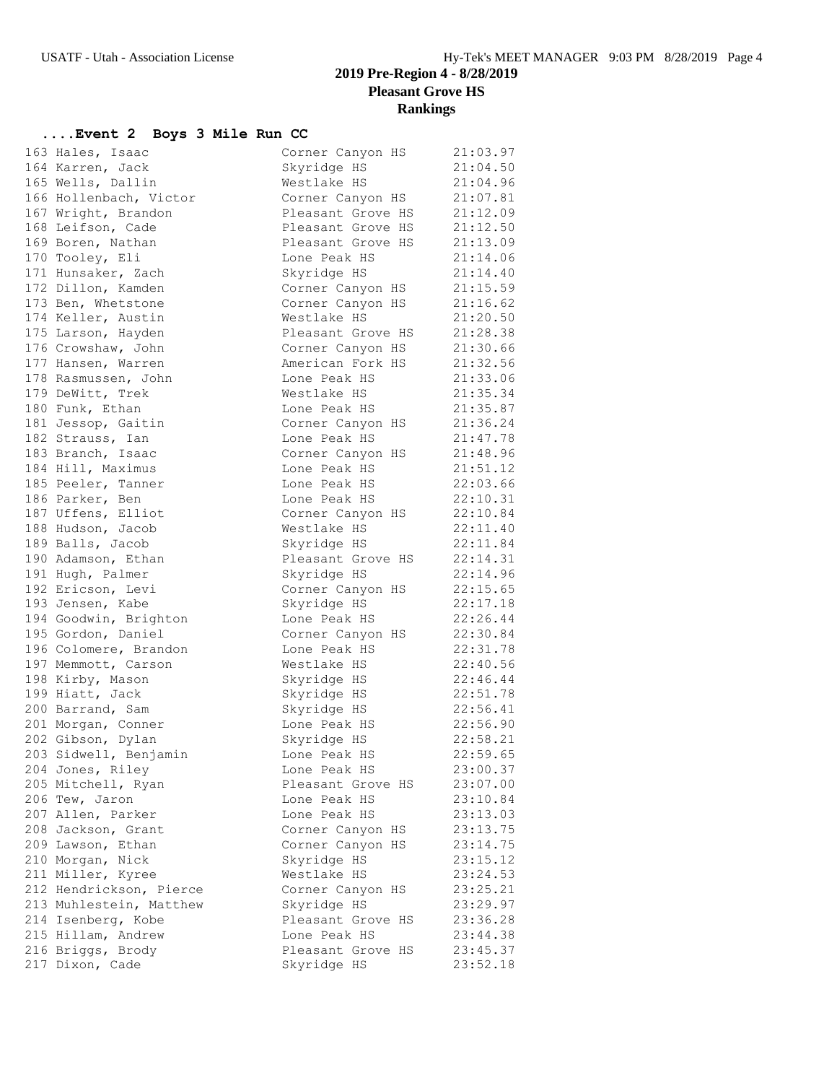### **2019 Pre-Region 4 - 8/28/2019 Pleasant Grove HS Rankings**

### **....Event 2 Boys 3 Mile Run CC**

| 163 Hales, Isaac                     | Corner Canyon HS                     | 21:03.97 |
|--------------------------------------|--------------------------------------|----------|
| 164 Karren, Jack                     | Skyridge HS                          | 21:04.50 |
| 165 Wells, Dallin                    | Westlake HS                          | 21:04.96 |
| 166 Hollenbach, Victor               | Corner Canyon HS                     | 21:07.81 |
| 167 Wright, Brandon                  | Pleasant Grove HS                    | 21:12.09 |
|                                      |                                      |          |
| 168 Leifson, Cade                    | Pleasant Grove HS                    | 21:12.50 |
| 169 Boren, Nathan                    | Pleasant Grove HS                    | 21:13.09 |
| 170 Tooley, Eli                      | Lone Peak HS                         | 21:14.06 |
| 171 Hunsaker, Zach                   | Skyridge HS                          | 21:14.40 |
| 172 Dillon, Kamden                   | Corner Canyon HS                     | 21:15.59 |
| 173 Ben, Whetstone                   | Corner Canyon HS                     | 21:16.62 |
| 174 Keller, Austin                   | Westlake HS                          | 21:20.50 |
| 175 Larson, Hayden                   | Pleasant Grove HS                    | 21:28.38 |
| 176 Crowshaw, John                   | Corner Canyon HS<br>American Fork HS | 21:30.66 |
| 177 Hansen, Warren                   |                                      | 21:32.56 |
| 178 Rasmussen, John                  | Lone Peak HS                         | 21:33.06 |
| 179 DeWitt, Trek                     | Westlake HS                          | 21:35.34 |
| 180 Funk, Ethan                      | Lone Peak HS                         | 21:35.87 |
| 181 Jessop, Gaitin                   | Corner Canyon HS                     | 21:36.24 |
| 182 Strauss, Ian                     | Lone Peak HS                         | 21:47.78 |
| 183 Branch, Isaac                    | Corner Canyon HS                     | 21:48.96 |
| 184 Hill, Maximus                    | Lone Peak HS                         | 21:51.12 |
| 185 Peeler, Tanner                   | Lone Peak HS                         | 22:03.66 |
| 186 Parker, Ben                      | Lone Peak HS                         | 22:10.31 |
| 187 Uffens, Elliot                   | Corner Canyon HS                     | 22:10.84 |
| 188 Hudson, Jacob                    | Westlake HS                          | 22:11.40 |
| 189 Balls, Jacob                     | Skyridge HS                          | 22:11.84 |
| 190 Adamson, Ethan                   | Pleasant Grove HS                    | 22:14.31 |
| 191 Hugh, Palmer                     | Skyridge HS                          | 22:14.96 |
| 192 Ericson, Levi                    | Corner Canyon HS                     | 22:15.65 |
| 193 Jensen, Kabe                     | Skyridge HS                          | 22:17.18 |
| 194 Goodwin, Brighton                | Lone Peak HS                         | 22:26.44 |
| 195 Gordon, Daniel                   | Corner Canyon HS                     | 22:30.84 |
| 196 Colomere, Brandon                | Lone Peak HS                         | 22:31.78 |
| 197 Memmott, Carson                  | Westlake HS                          | 22:40.56 |
| 198 Kirby, Mason                     | Skyridge HS                          | 22:46.44 |
| 199 Hiatt, Jack                      | Skyridge HS                          | 22:51.78 |
| 200 Barrand, Sam                     | Skyridge HS                          | 22:56.41 |
| 201 Morgan, Conner                   | Lone Peak HS                         | 22:56.90 |
| 202 Gibson, Dylan                    | Skyridge HS                          | 22:58.21 |
| 203 Sidwell, Benjamin                | Lone Peak HS                         | 22:59.65 |
| 204 Jones, Riley                     | Lone Peak HS                         | 23:00.37 |
| 205 Mitchell, Ryan                   | Pleasant Grove HS                    | 23:07.00 |
| 206 Tew, Jaron                       | Lone Peak HS                         | 23:10.84 |
| 207 Allen, Parker                    | Lone Peak HS                         | 23:13.03 |
| 208 Jackson, Grant                   | Corner Canyon HS                     | 23:13.75 |
| 209 Lawson, Ethan                    | Corner Canyon HS                     | 23:14.75 |
| 210 Morgan, Nick                     | Skyridge HS                          | 23:15.12 |
| 211 Miller, Kyree                    | Westlake HS                          | 23:24.53 |
| 212 Hendrickson, Pierce              | Corner Canyon HS                     | 23:25.21 |
| 213 Muhlestein, Matthew              | Skyridge HS                          | 23:29.97 |
| 214 Isenberg, Kobe                   | Pleasant Grove HS                    | 23:36.28 |
| 215 Hillam, Andrew                   | Lone Peak HS                         |          |
|                                      | Pleasant Grove HS                    | 23:44.38 |
| 216 Briggs, Brody<br>217 Dixon, Cade |                                      | 23:45.37 |
|                                      | Skyridge HS                          | 23:52.18 |